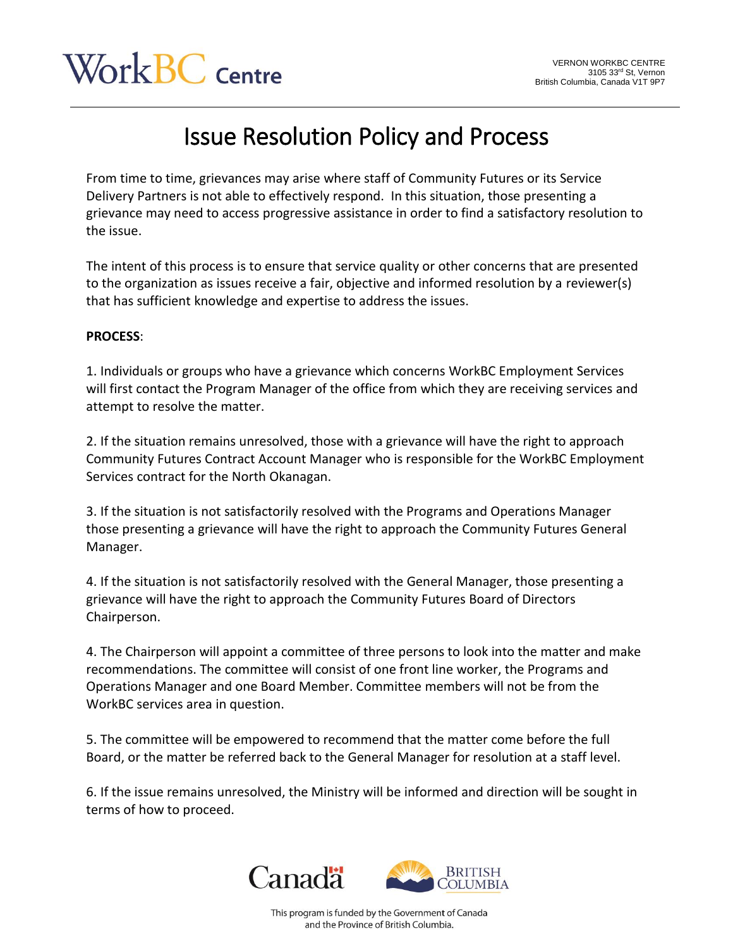## Work BC centre

## Issue Resolution Policy and Process

From time to time, grievances may arise where staff of Community Futures or its Service Delivery Partners is not able to effectively respond. In this situation, those presenting a grievance may need to access progressive assistance in order to find a satisfactory resolution to the issue.

The intent of this process is to ensure that service quality or other concerns that are presented to the organization as issues receive a fair, objective and informed resolution by a reviewer(s) that has sufficient knowledge and expertise to address the issues.

## **PROCESS**:

1. Individuals or groups who have a grievance which concerns WorkBC Employment Services will first contact the Program Manager of the office from which they are receiving services and attempt to resolve the matter.

2. If the situation remains unresolved, those with a grievance will have the right to approach Community Futures Contract Account Manager who is responsible for the WorkBC Employment Services contract for the North Okanagan.

3. If the situation is not satisfactorily resolved with the Programs and Operations Manager those presenting a grievance will have the right to approach the Community Futures General Manager.

4. If the situation is not satisfactorily resolved with the General Manager, those presenting a grievance will have the right to approach the Community Futures Board of Directors Chairperson.

4. The Chairperson will appoint a committee of three persons to look into the matter and make recommendations. The committee will consist of one front line worker, the Programs and Operations Manager and one Board Member. Committee members will not be from the WorkBC services area in question.

5. The committee will be empowered to recommend that the matter come before the full Board, or the matter be referred back to the General Manager for resolution at a staff level.

6. If the issue remains unresolved, the Ministry will be informed and direction will be sought in terms of how to proceed.